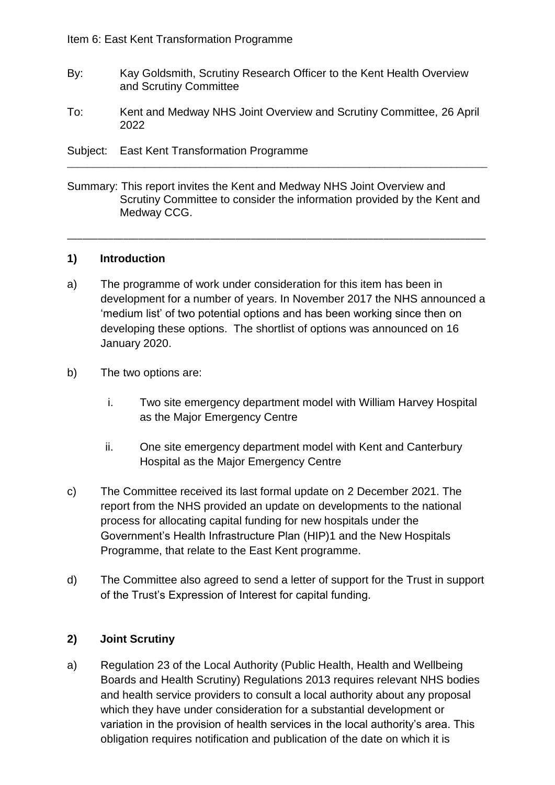- By: Kay Goldsmith, Scrutiny Research Officer to the Kent Health Overview and Scrutiny Committee
- To: Kent and Medway NHS Joint Overview and Scrutiny Committee, 26 April 2022
- Subject: East Kent Transformation Programme
- Summary: This report invites the Kent and Medway NHS Joint Overview and Scrutiny Committee to consider the information provided by the Kent and Medway CCG.

\_\_\_\_\_\_\_\_\_\_\_\_\_\_\_\_\_\_\_\_\_\_\_\_\_\_\_\_\_\_\_\_\_\_\_\_\_\_\_\_\_\_\_\_\_\_\_\_\_\_\_\_\_\_\_\_\_\_\_\_\_\_\_\_\_\_\_\_\_\_\_\_\_\_\_\_\_\_\_\_\_\_

\_\_\_\_\_\_\_\_\_\_\_\_\_\_\_\_\_\_\_\_\_\_\_\_\_\_\_\_\_\_\_\_\_\_\_\_\_\_\_\_\_\_\_\_\_\_\_\_\_\_\_\_\_\_\_\_\_\_\_\_\_\_\_\_\_\_\_\_\_\_\_\_\_\_\_\_\_\_\_\_\_\_

#### **1) Introduction**

- a) The programme of work under consideration for this item has been in development for a number of years. In November 2017 the NHS announced a 'medium list' of two potential options and has been working since then on developing these options. The shortlist of options was announced on 16 January 2020.
- b) The two options are:
	- i. Two site emergency department model with William Harvey Hospital as the Major Emergency Centre
	- ii. One site emergency department model with Kent and Canterbury Hospital as the Major Emergency Centre
- c) The Committee received its last formal update on 2 December 2021. The report from the NHS provided an update on developments to the national process for allocating capital funding for new hospitals under the Government's Health Infrastructure Plan (HIP)1 and the New Hospitals Programme, that relate to the East Kent programme.
- d) The Committee also agreed to send a letter of support for the Trust in support of the Trust's Expression of Interest for capital funding.

### **2) Joint Scrutiny**

a) Regulation 23 of the Local Authority (Public Health, Health and Wellbeing Boards and Health Scrutiny) Regulations 2013 requires relevant NHS bodies and health service providers to consult a local authority about any proposal which they have under consideration for a substantial development or variation in the provision of health services in the local authority's area. This obligation requires notification and publication of the date on which it is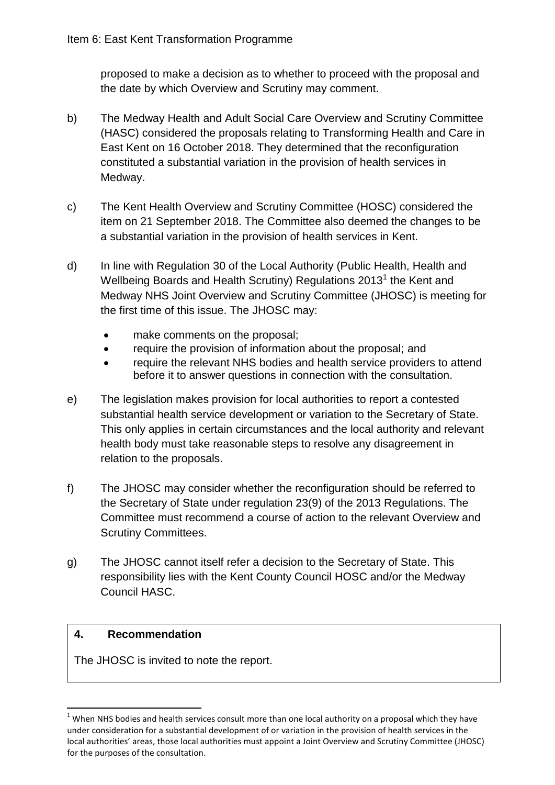proposed to make a decision as to whether to proceed with the proposal and the date by which Overview and Scrutiny may comment.

- b) The Medway Health and Adult Social Care Overview and Scrutiny Committee (HASC) considered the proposals relating to Transforming Health and Care in East Kent on 16 October 2018. They determined that the reconfiguration constituted a substantial variation in the provision of health services in Medway.
- c) The Kent Health Overview and Scrutiny Committee (HOSC) considered the item on 21 September 2018. The Committee also deemed the changes to be a substantial variation in the provision of health services in Kent.
- d) In line with Regulation 30 of the Local Authority (Public Health, Health and Wellbeing Boards and Health Scrutiny) Regulations 2013<sup>1</sup> the Kent and Medway NHS Joint Overview and Scrutiny Committee (JHOSC) is meeting for the first time of this issue. The JHOSC may:
	- make comments on the proposal;
	- require the provision of information about the proposal; and
	- require the relevant NHS bodies and health service providers to attend before it to answer questions in connection with the consultation.
- e) The legislation makes provision for local authorities to report a contested substantial health service development or variation to the Secretary of State. This only applies in certain circumstances and the local authority and relevant health body must take reasonable steps to resolve any disagreement in relation to the proposals.
- f) The JHOSC may consider whether the reconfiguration should be referred to the Secretary of State under regulation 23(9) of the 2013 Regulations. The Committee must recommend a course of action to the relevant Overview and Scrutiny Committees.
- g) The JHOSC cannot itself refer a decision to the Secretary of State. This responsibility lies with the Kent County Council HOSC and/or the Medway Council HASC.

# **4. Recommendation**

**.** 

The JHOSC is invited to note the report.

 $1$  When NHS bodies and health services consult more than one local authority on a proposal which they have under consideration for a substantial development of or variation in the provision of health services in the local authorities' areas, those local authorities must appoint a Joint Overview and Scrutiny Committee (JHOSC) for the purposes of the consultation.